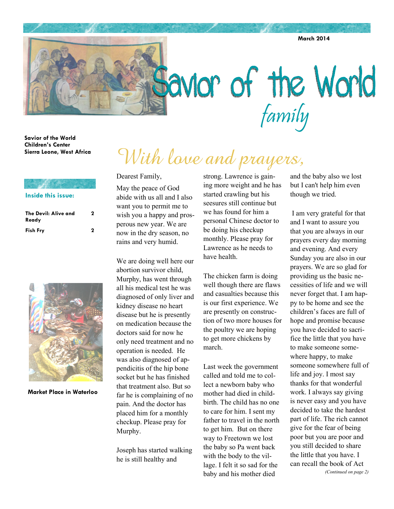**March 2014** 

# **favior** of the World

**Savior of the World Children's Center Sierra Leone, West Africa** 

### **Inside this issue:**

| The Devil: Alive and<br>Ready | 2 |
|-------------------------------|---|
| <b>Fish Fry</b>               | 2 |



**Market Place in Waterloo** 

# With lave and prayers,

Dearest Family,

May the peace of God abide with us all and I also want you to permit me to wish you a happy and prosperous new year. We are now in the dry season, no rains and very humid.

We are doing well here our abortion survivor child, Murphy, has went through all his medical test he was diagnosed of only liver and kidney disease no heart disease but he is presently on medication because the doctors said for now he only need treatment and no operation is needed. He was also diagnosed of appendicitis of the hip bone socket but he has finished that treatment also. But so far he is complaining of no pain. And the doctor has placed him for a monthly checkup. Please pray for Murphy.

Joseph has started walking he is still healthy and

strong. Lawrence is gaining more weight and he has started crawling but his seesures still continue but we has found for him a personal Chinese doctor to be doing his checkup monthly. Please pray for Lawrence as he needs to have health.

The chicken farm is doing well though there are flaws and casualties because this is our first experience. We are presently on construction of two more houses for the poultry we are hoping to get more chickens by march.

Last week the government called and told me to collect a newborn baby who mother had died in childbirth. The child has no one to care for him. I sent my father to travel in the north to get him. But on there way to Freetown we lost the baby so Pa went back with the body to the village. I felt it so sad for the baby and his mother died

and the baby also we lost but I can't help him even though we tried.

 I am very grateful for that and I want to assure you that you are always in our prayers every day morning and evening. And every Sunday you are also in our prayers. We are so glad for providing us the basic necessities of life and we will never forget that. I am happy to be home and see the children's faces are full of hope and promise because you have decided to sacrifice the little that you have to make someone somewhere happy, to make someone somewhere full of life and joy. I most say thanks for that wonderful work. I always say giving is never easy and you have decided to take the hardest part of life. The rich cannot give for the fear of being poor but you are poor and you still decided to share the little that you have. I can recall the book of Act *(Continued on page 2)*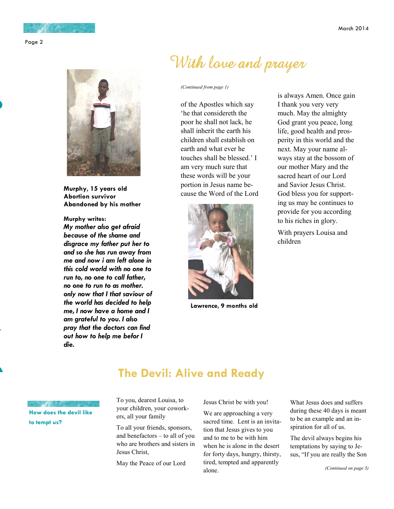

**Murphy, 15 years old Abortion survivor Abandoned by his mother** 

**Murphy writes:** 

*My mother also get afraid because of the shame and disgrace my father put her to and so she has run away from me and now i am left alone in this cold world with no one to run to, no one to call father, no one to run to as mother. only now that I that saviour of the world has decided to help me, I now have a home and I am grateful to you. I also pray that the doctors can find out how to help me befor I die.* 

# With love and prayer

### *(Continued from page 1)*

of the Apostles which say 'he that considereth the poor he shall not lack, he shall inherit the earth his children shall establish on earth and what ever he touches shall be blessed.' I am very much sure that these words will be your portion in Jesus name because the Word of the Lord



**Lawrence, 9 months old** 

is always Amen. Once gain I thank you very very much. May the almighty God grant you peace, long life, good health and prosperity in this world and the next. May your name always stay at the bossom of our mother Mary and the sacred heart of our Lord and Savior Jesus Christ. God bless you for supporting us may he continues to provide for you according to his riches in glory.

With prayers Louisa and children

# **The Devil: Alive and Ready**

**How does the devil like to tempt us?** 

To you, dearest Louisa, to your children, your coworkers, all your family

To all your friends, sponsors, and benefactors – to all of you who are brothers and sisters in Jesus Christ,

May the Peace of our Lord

Jesus Christ be with you!

We are approaching a very sacred time. Lent is an invitation that Jesus gives to you and to me to be with him when he is alone in the desert for forty days, hungry, thirsty, tired, tempted and apparently alone.

What Jesus does and suffers during these 40 days is meant to be an example and an inspiration for all of us.

The devil always begins his temptations by saying to Jesus, "If you are really the Son

*(Continued on page 3)*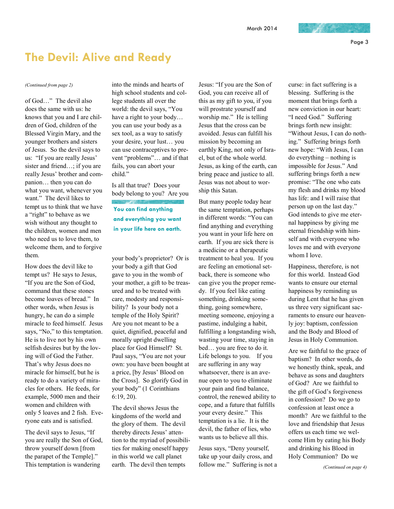## **The Devil: Alive and Ready**

of God…" The devil also does the same with us: he knows that you and I are children of God, children of the Blessed Virgin Mary, and the younger brothers and sisters of Jesus. So the devil says to us: "If you are really Jesus' sister and friend…; if you are really Jesus' brother and companion… then you can do what you want, whenever you want." The devil likes to tempt us to think that we have a "right" to behave as we wish without any thought to the children, women and men who need us to love them, to welcome them, and to forgive them.

How does the devil like to tempt us? He says to Jesus, "If you are the Son of God, command that these stones become loaves of bread." In other words, when Jesus is hungry, he can do a simple miracle to feed himself. Jesus says, "No," to this temptation. He is to live not by his own selfish desires but by the loving will of God the Father. That's why Jesus does no miracle for himself, but he is ready to do a variety of miracles for others. He feeds, for example, 5000 men and their women and children with only 5 loaves and 2 fish. Everyone eats and is satisfied.

The devil says to Jesus, "If you are really the Son of God, throw yourself down [from the parapet of the Temple]." This temptation is wandering

*(Continued from page 2)* into the minds and hearts of high school students and college students all over the world: the devil says, "You have a right to your body… you can use your body as a sex tool, as a way to satisfy your desire, your lust… you can use contraceptives to prevent "problems"… and if that fails, you can abort your child."

> Is all that true? Does your body belong to you? Are you

**You can find anything and everything you want in your life here on earth.** 

your body's proprietor? Or is your body a gift that God gave to you in the womb of your mother, a gift to be treasured and to be treated with care, modesty and responsibility? Is your body not a temple of the Holy Spirit? Are you not meant to be a quiet, dignified, peaceful and morally upright dwelling place for God Himself? St. Paul says, "You are not your own: you have been bought at a price, [by Jesus' Blood on the Cross]. So glorify God in your body" (1 Corinthians 6:19, 20).

The devil shows Jesus the kingdoms of the world and the glory of them. The devil thereby directs Jesus' attention to the myriad of possibilities for making oneself happy in this world we call planet earth. The devil then tempts

Jesus: "If you are the Son of God, you can receive all of this as my gift to you, if you will prostrate yourself and worship me." He is telling Jesus that the cross can be avoided. Jesus can fulfill his mission by becoming an earthly King, not only of Israel, but of the whole world. Jesus, as king of the earth, can bring peace and justice to all. Jesus was not about to worship this Satan.

But many people today hear the same temptation, perhaps in different words: "You can find anything and everything you want in your life here on earth. If you are sick there is a medicine or a therapeutic treatment to heal you. If you are feeling an emotional setback, there is someone who can give you the proper remedy. If you feel like eating something, drinking something, going somewhere, meeting someone, enjoying a pastime, indulging a habit, fulfilling a longstanding wish, wasting your time, staying in bed… you are free to do it. Life belongs to you. If you are suffering in any way whatsoever, there is an avenue open to you to eliminate your pain and find balance, control, the renewed ability to cope, and a future that fulfills your every desire." This temptation is a lie. It is the devil, the father of lies, who wants us to believe all this.

Jesus says, "Deny yourself, take up your daily cross, and follow me." Suffering is not a

curse: in fact suffering is a blessing. Suffering is the moment that brings forth a new conviction in our heart: "I need God." Suffering brings forth new insight: "Without Jesus, I can do nothing." Suffering brings forth new hope: "With Jesus, I can do everything – nothing is impossible for Jesus." And suffering brings forth a new promise: "The one who eats my flesh and drinks my blood has life: and I will raise that person up on the last day." God intends to give me eternal happiness by giving me eternal friendship with himself and with everyone who loves me and with everyone whom I love.

Happiness, therefore, is not for this world. Instead God wants to ensure our eternal happiness by reminding us during Lent that he has given us three very significant sacraments to ensure our heavenly joy: baptism, confession and the Body and Blood of Jesus in Holy Communion.

Are we faithful to the grace of baptism? In other words, do we honestly think, speak, and behave as sons and daughters of God? Are we faithful to the gift of God's forgiveness in confession? Do we go to confession at least once a month? Are we faithful to the love and friendship that Jesus offers us each time we welcome Him by eating his Body and drinking his Blood in Holy Communion? Do we